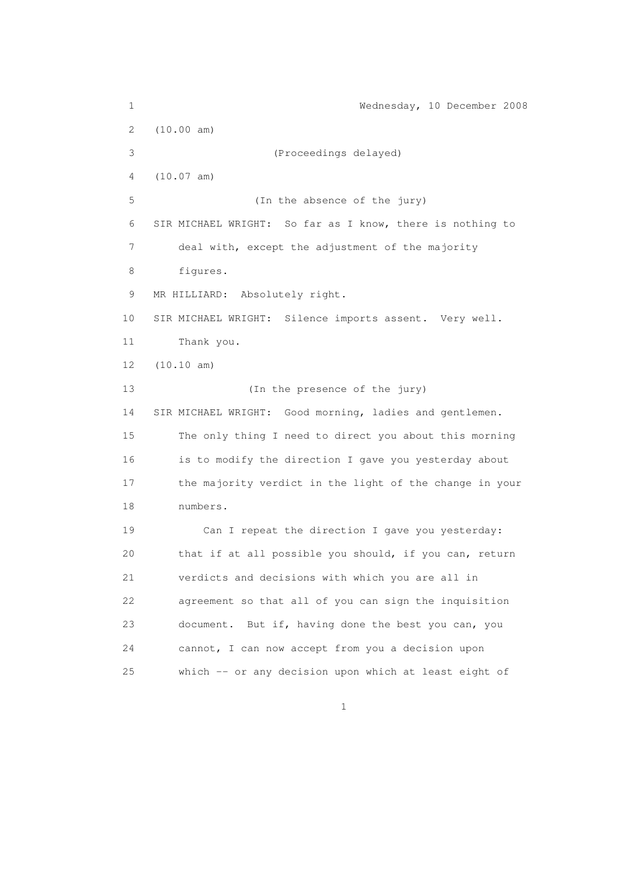1 Wednesday, 10 December 2008 2 (10.00 am) 3 (Proceedings delayed) 4 (10.07 am) 5 (In the absence of the jury) 6 SIR MICHAEL WRIGHT: So far as I know, there is nothing to 7 deal with, except the adjustment of the majority 8 figures. 9 MR HILLIARD: Absolutely right. 10 SIR MICHAEL WRIGHT: Silence imports assent. Very well. 11 Thank you. 12 (10.10 am) 13 (In the presence of the jury) 14 SIR MICHAEL WRIGHT: Good morning, ladies and gentlemen. 15 The only thing I need to direct you about this morning 16 is to modify the direction I gave you yesterday about 17 the majority verdict in the light of the change in your 18 numbers. 19 Can I repeat the direction I gave you yesterday: 20 that if at all possible you should, if you can, return 21 verdicts and decisions with which you are all in 22 agreement so that all of you can sign the inquisition 23 document. But if, having done the best you can, you 24 cannot, I can now accept from you a decision upon 25 which -- or any decision upon which at least eight of

 $1$  and  $1$  and  $1$  and  $1$  and  $1$  and  $1$  and  $1$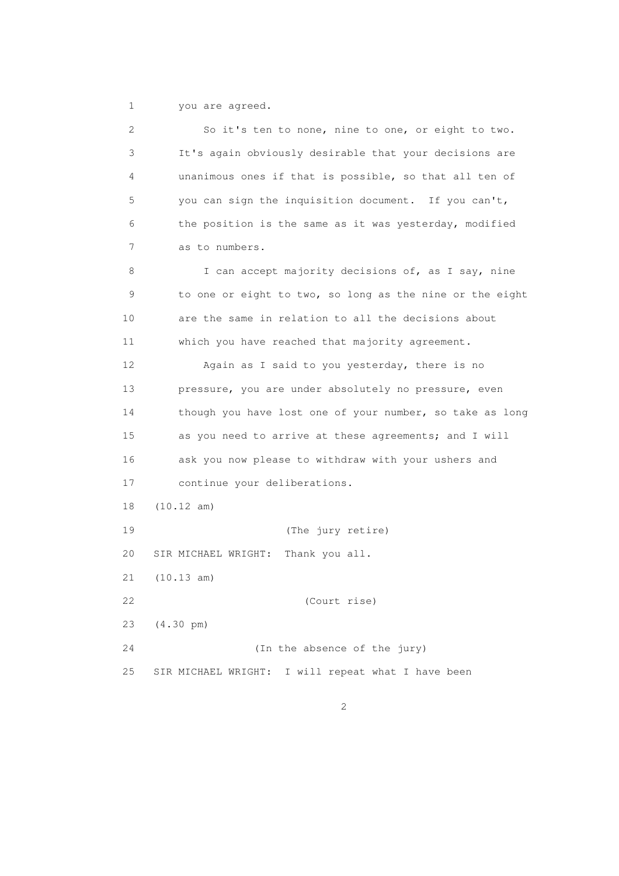1 you are agreed.

 2 So it's ten to none, nine to one, or eight to two. 3 It's again obviously desirable that your decisions are 4 unanimous ones if that is possible, so that all ten of 5 you can sign the inquisition document. If you can't, 6 the position is the same as it was yesterday, modified 7 as to numbers. 8 I can accept majority decisions of, as I say, nine 9 to one or eight to two, so long as the nine or the eight 10 are the same in relation to all the decisions about 11 which you have reached that majority agreement. 12 Again as I said to you yesterday, there is no 13 pressure, you are under absolutely no pressure, even 14 though you have lost one of your number, so take as long 15 as you need to arrive at these agreements; and I will 16 ask you now please to withdraw with your ushers and 17 continue your deliberations. 18 (10.12 am) 19 (The jury retire) 20 SIR MICHAEL WRIGHT: Thank you all. 21 (10.13 am) 22 (Court rise) 23 (4.30 pm) 24 (In the absence of the jury) 25 SIR MICHAEL WRIGHT: I will repeat what I have been

2